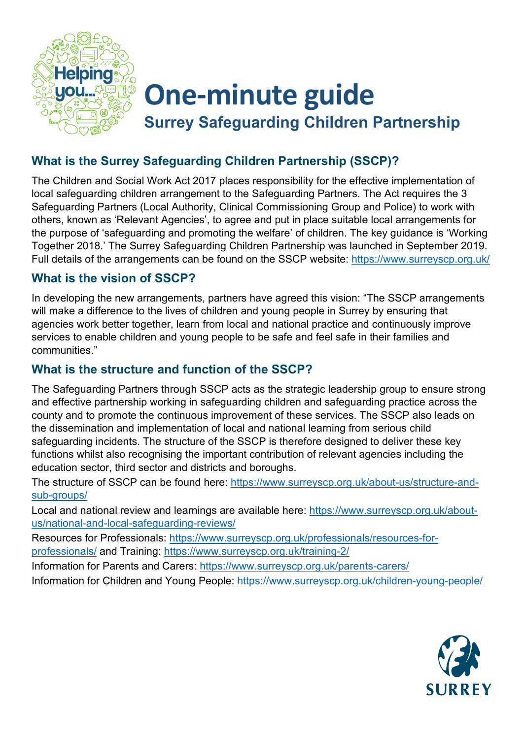

# **One-minute guide Surrey Safeguarding Children Partnership**

### **What is the Surrey Safeguarding Children Partnership (SSCP)?**

The Children and Social Work Act 2017 places responsibility for the effective implementation of local safeguarding children arrangement to the Safeguarding Partners. The Act requires the 3 Safeguarding Partners (Local Authority, Clinical Commissioning Group and Police) to work with others, known as 'Relevant Agencies', to agree and put in place suitable local arrangements for the purpose of 'safeguarding and promoting the welfare' of children. The key guidance is 'Working Together 2018.' The Surrey Safeguarding Children Partnership was launched in September 2019. Full details of the arrangements can be found on the SSCP website:<https://www.surreyscp.org.uk/>

#### **What is the vision of SSCP?**

In developing the new arrangements, partners have agreed this vision: "The SSCP arrangements will make a difference to the lives of children and young people in Surrey by ensuring that agencies work better together, learn from local and national practice and continuously improve services to enable children and young people to be safe and feel safe in their families and communities."

#### **What is the structure and function of the SSCP?**

The Safeguarding Partners through SSCP acts as the strategic leadership group to ensure strong and effective partnership working in safeguarding children and safeguarding practice across the county and to promote the continuous improvement of these services. The SSCP also leads on the dissemination and implementation of local and national learning from serious child safeguarding incidents. The structure of the SSCP is therefore designed to deliver these key functions whilst also recognising the important contribution of relevant agencies including the education sector, third sector and districts and boroughs.

The structure of SSCP can be found here: [https://www.surreyscp.org.uk/about-us/structure-and](https://www.surreyscp.org.uk/about-us/structure-and-sub-groups/)[sub-groups/](https://www.surreyscp.org.uk/about-us/structure-and-sub-groups/)

Local and national review and learnings are available here: [https://www.surreyscp.org.uk/about](https://www.surreyscp.org.uk/about-us/national-and-local-safeguarding-reviews/)[us/national-and-local-safeguarding-reviews/](https://www.surreyscp.org.uk/about-us/national-and-local-safeguarding-reviews/)

Resources for Professionals: [https://www.surreyscp.org.uk/professionals/resources-for](https://www.surreyscp.org.uk/professionals/resources-for-professionals/)[professionals/](https://www.surreyscp.org.uk/professionals/resources-for-professionals/) and Training:<https://www.surreyscp.org.uk/training-2/>

Information for Parents and Carers:<https://www.surreyscp.org.uk/parents-carers/> Information for Children and Young People:<https://www.surreyscp.org.uk/children-young-people/>